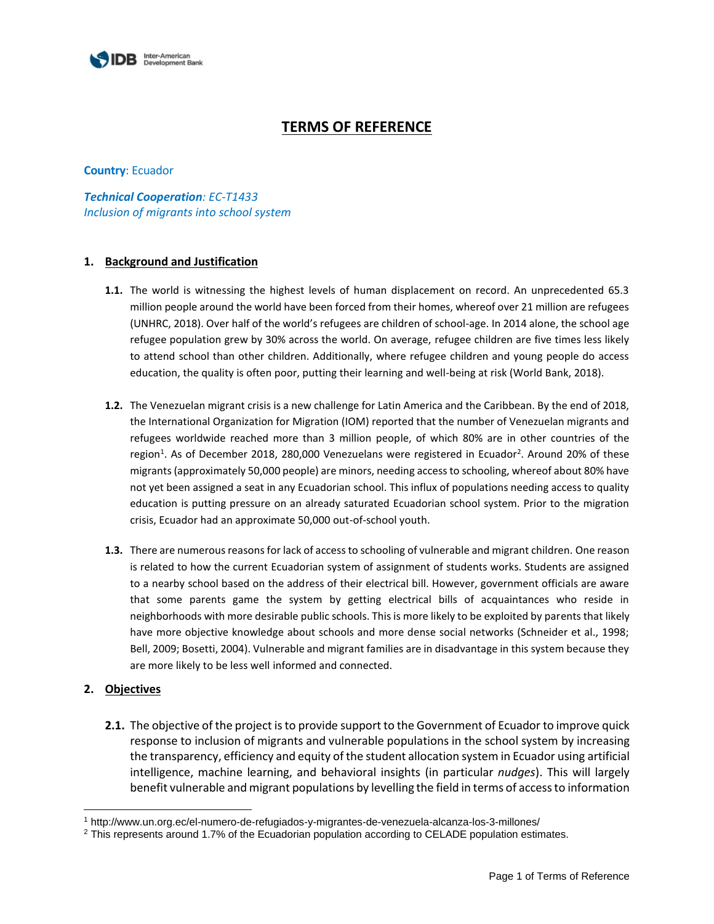

# **TERMS OF REFERENCE**

## **Country**: Ecuador

*Technical Cooperation: EC-T1433 Inclusion of migrants into school system*

## **1. Background and Justification**

- **1.1.** The world is witnessing the highest levels of human displacement on record. An unprecedented 65.3 million people around the world have been forced from their homes, whereof over 21 million are refugees (UNHRC, 2018). Over half of the world's refugees are children of school-age. In 2014 alone, the school age refugee population grew by 30% across the world. On average, refugee children are five times less likely to attend school than other children. Additionally, where refugee children and young people do access education, the quality is often poor, putting their learning and well-being at risk (World Bank, 2018).
- **1.2.** The Venezuelan migrant crisis is a new challenge for Latin America and the Caribbean. By the end of 2018, the International Organization for Migration (IOM) reported that the number of Venezuelan migrants and refugees worldwide reached more than 3 million people, of which 80% are in other countries of the region<sup>1</sup>. As of December 2018, 280,000 Venezuelans were registered in Ecuador<sup>2</sup>. Around 20% of these migrants (approximately 50,000 people) are minors, needing access to schooling, whereof about 80% have not yet been assigned a seat in any Ecuadorian school. This influx of populations needing access to quality education is putting pressure on an already saturated Ecuadorian school system. Prior to the migration crisis, Ecuador had an approximate 50,000 out-of-school youth.
- **1.3.** There are numerous reasons for lack of access to schooling of vulnerable and migrant children. One reason is related to how the current Ecuadorian system of assignment of students works. Students are assigned to a nearby school based on the address of their electrical bill. However, government officials are aware that some parents game the system by getting electrical bills of acquaintances who reside in neighborhoods with more desirable public schools. This is more likely to be exploited by parents that likely have more objective knowledge about schools and more dense social networks (Schneider et al., 1998; Bell, 2009; Bosetti, 2004). Vulnerable and migrant families are in disadvantage in this system because they are more likely to be less well informed and connected.

## **2. Objectives**

 $\overline{a}$ 

**2.1.** The objective of the project is to provide support to the Government of Ecuador to improve quick response to inclusion of migrants and vulnerable populations in the school system by increasing the transparency, efficiency and equity of the student allocation system in Ecuador using artificial intelligence, machine learning, and behavioral insights (in particular *nudges*). This will largely benefit vulnerable and migrant populations by levelling the field in terms of access to information

<sup>1</sup> http://www.un.org.ec/el-numero-de-refugiados-y-migrantes-de-venezuela-alcanza-los-3-millones/

<sup>2</sup> This represents around 1.7% of the Ecuadorian population according to CELADE population estimates.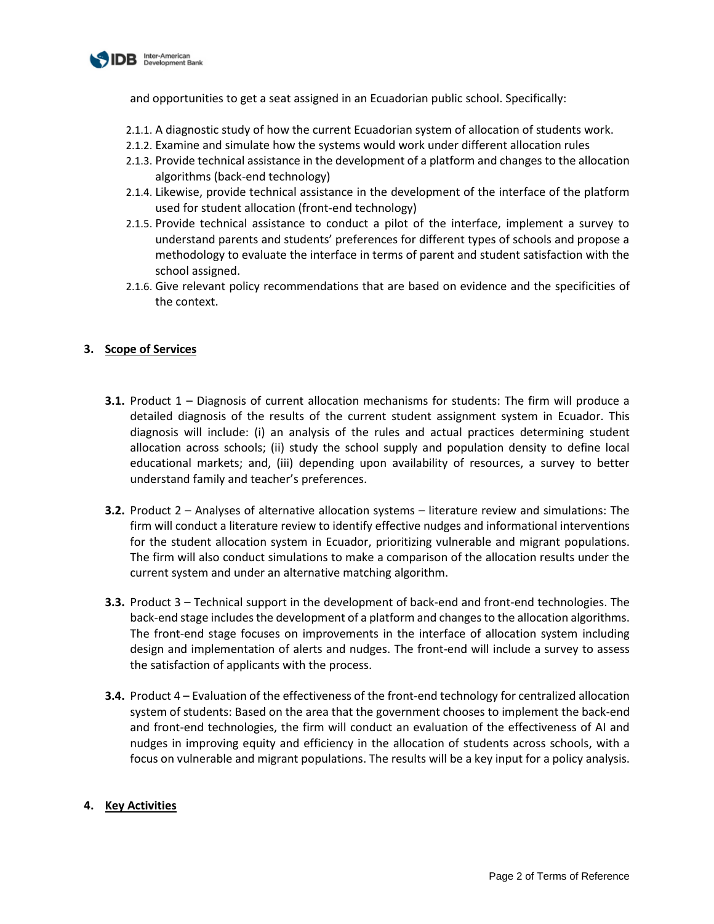

and opportunities to get a seat assigned in an Ecuadorian public school. Specifically:

- 2.1.1. A diagnostic study of how the current Ecuadorian system of allocation of students work.
- 2.1.2. Examine and simulate how the systems would work under different allocation rules
- 2.1.3. Provide technical assistance in the development of a platform and changes to the allocation algorithms (back-end technology)
- 2.1.4. Likewise, provide technical assistance in the development of the interface of the platform used for student allocation (front-end technology)
- 2.1.5. Provide technical assistance to conduct a pilot of the interface, implement a survey to understand parents and students' preferences for different types of schools and propose a methodology to evaluate the interface in terms of parent and student satisfaction with the school assigned.
- 2.1.6. Give relevant policy recommendations that are based on evidence and the specificities of the context.

# **3. Scope of Services**

- **3.1.** Product 1 Diagnosis of current allocation mechanisms for students: The firm will produce a detailed diagnosis of the results of the current student assignment system in Ecuador. This diagnosis will include: (i) an analysis of the rules and actual practices determining student allocation across schools; (ii) study the school supply and population density to define local educational markets; and, (iii) depending upon availability of resources, a survey to better understand family and teacher's preferences.
- **3.2.** Product 2 Analyses of alternative allocation systems literature review and simulations: The firm will conduct a literature review to identify effective nudges and informational interventions for the student allocation system in Ecuador, prioritizing vulnerable and migrant populations. The firm will also conduct simulations to make a comparison of the allocation results under the current system and under an alternative matching algorithm.
- **3.3.** Product 3 Technical support in the development of back-end and front-end technologies. The back-end stage includes the development of a platform and changes to the allocation algorithms. The front-end stage focuses on improvements in the interface of allocation system including design and implementation of alerts and nudges. The front-end will include a survey to assess the satisfaction of applicants with the process.
- **3.4.** Product 4 Evaluation of the effectiveness of the front-end technology for centralized allocation system of students: Based on the area that the government chooses to implement the back-end and front-end technologies, the firm will conduct an evaluation of the effectiveness of AI and nudges in improving equity and efficiency in the allocation of students across schools, with a focus on vulnerable and migrant populations. The results will be a key input for a policy analysis.

# **4. Key Activities**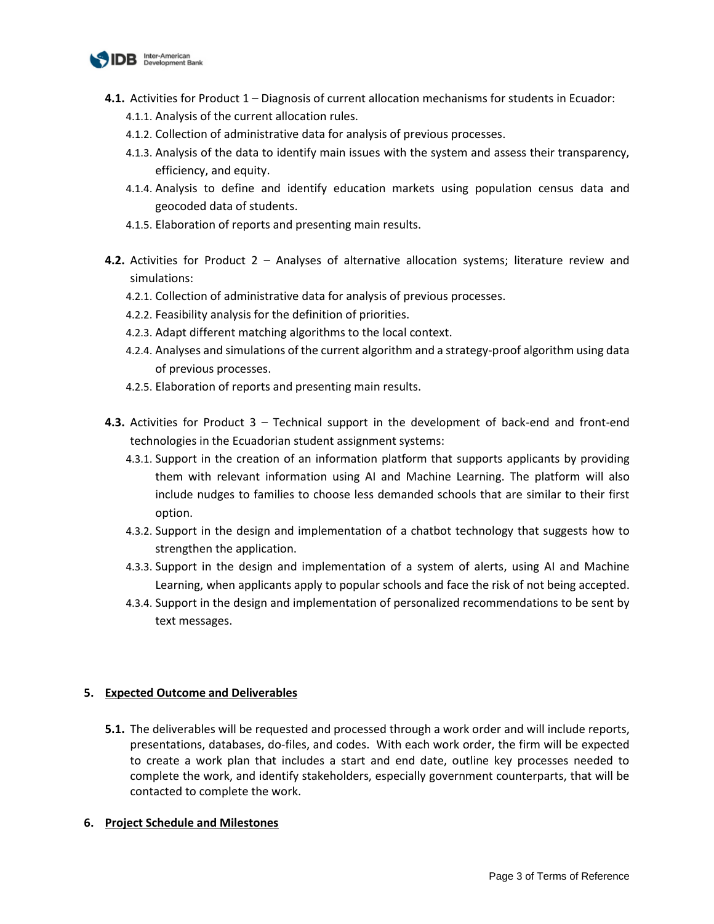

- **4.1.** Activities for Product 1 Diagnosis of current allocation mechanisms for students in Ecuador:
	- 4.1.1. Analysis of the current allocation rules.
	- 4.1.2. Collection of administrative data for analysis of previous processes.
	- 4.1.3. Analysis of the data to identify main issues with the system and assess their transparency, efficiency, and equity.
	- 4.1.4. Analysis to define and identify education markets using population census data and geocoded data of students.
	- 4.1.5. Elaboration of reports and presenting main results.
- **4.2.** Activities for Product 2 Analyses of alternative allocation systems; literature review and simulations:
	- 4.2.1. Collection of administrative data for analysis of previous processes.
	- 4.2.2. Feasibility analysis for the definition of priorities.
	- 4.2.3. Adapt different matching algorithms to the local context.
	- 4.2.4. Analyses and simulations of the current algorithm and a strategy-proof algorithm using data of previous processes.
	- 4.2.5. Elaboration of reports and presenting main results.
- **4.3.** Activities for Product 3 Technical support in the development of back-end and front-end technologies in the Ecuadorian student assignment systems:
	- 4.3.1. Support in the creation of an information platform that supports applicants by providing them with relevant information using AI and Machine Learning. The platform will also include nudges to families to choose less demanded schools that are similar to their first option.
	- 4.3.2. Support in the design and implementation of a chatbot technology that suggests how to strengthen the application.
	- 4.3.3. Support in the design and implementation of a system of alerts, using AI and Machine Learning, when applicants apply to popular schools and face the risk of not being accepted.
	- 4.3.4. Support in the design and implementation of personalized recommendations to be sent by text messages.

## **5. Expected Outcome and Deliverables**

**5.1.** The deliverables will be requested and processed through a work order and will include reports, presentations, databases, do-files, and codes. With each work order, the firm will be expected to create a work plan that includes a start and end date, outline key processes needed to complete the work, and identify stakeholders, especially government counterparts, that will be contacted to complete the work.

## **6. Project Schedule and Milestones**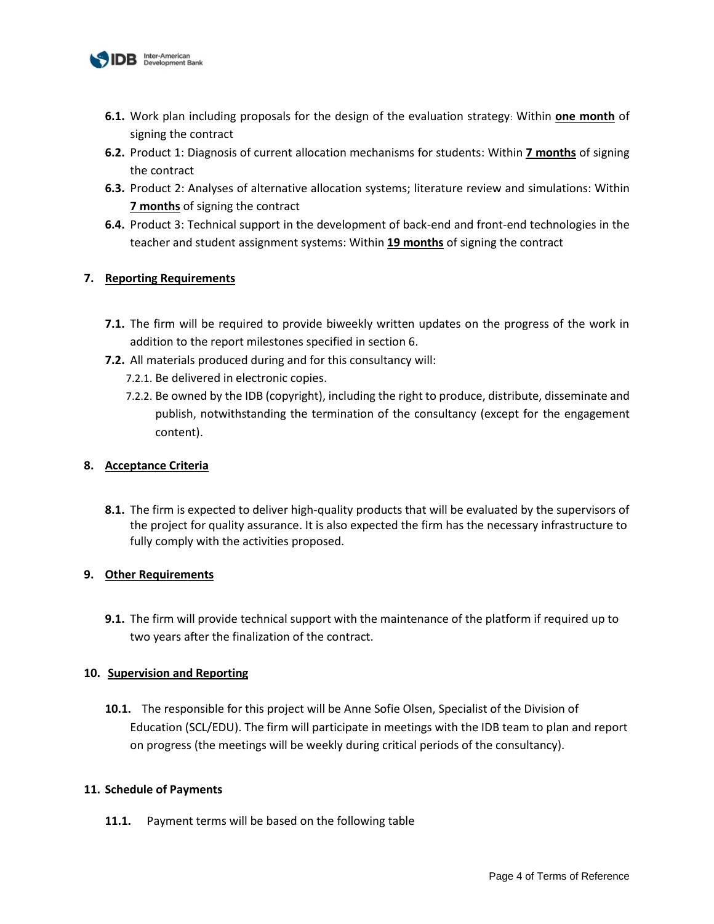

- **6.1.** Work plan including proposals for the design of the evaluation strategy: Within **one month** of signing the contract
- **6.2.** Product 1: Diagnosis of current allocation mechanisms for students: Within **7 months** of signing the contract
- **6.3.** Product 2: Analyses of alternative allocation systems; literature review and simulations: Within **7 months** of signing the contract
- **6.4.** Product 3: Technical support in the development of back-end and front-end technologies in the teacher and student assignment systems: Within **19 months** of signing the contract

# **7. Reporting Requirements**

- **7.1.** The firm will be required to provide biweekly written updates on the progress of the work in addition to the report milestones specified in section 6.
- **7.2.** All materials produced during and for this consultancy will:
	- 7.2.1. Be delivered in electronic copies.
	- 7.2.2. Be owned by the IDB (copyright), including the right to produce, distribute, disseminate and publish, notwithstanding the termination of the consultancy (except for the engagement content).

# **8. Acceptance Criteria**

**8.1.** The firm is expected to deliver high-quality products that will be evaluated by the supervisors of the project for quality assurance. It is also expected the firm has the necessary infrastructure to fully comply with the activities proposed.

# **9. Other Requirements**

**9.1.** The firm will provide technical support with the maintenance of the platform if required up to two years after the finalization of the contract.

# **10. Supervision and Reporting**

**10.1.** The responsible for this project will be Anne Sofie Olsen, Specialist of the Division of Education (SCL/EDU). The firm will participate in meetings with the IDB team to plan and report on progress (the meetings will be weekly during critical periods of the consultancy).

# **11. Schedule of Payments**

**11.1.** Payment terms will be based on the following table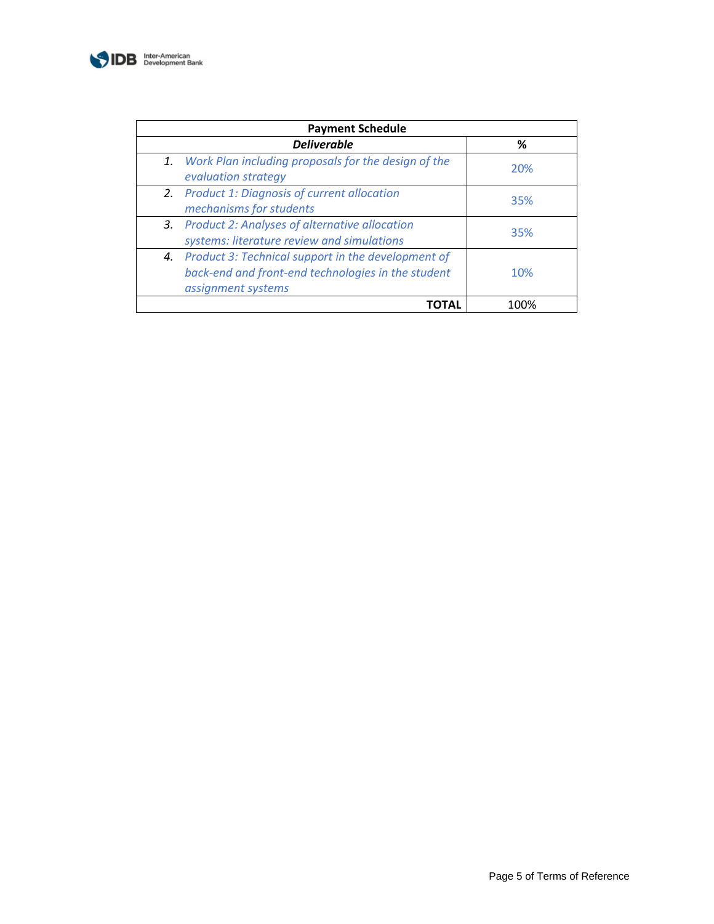

| <b>Payment Schedule</b> |                                                                                                                                   |      |  |
|-------------------------|-----------------------------------------------------------------------------------------------------------------------------------|------|--|
|                         | <b>Deliverable</b>                                                                                                                | ℅    |  |
|                         | 1. Work Plan including proposals for the design of the<br>evaluation strategy                                                     | 20%  |  |
|                         | 2. Product 1: Diagnosis of current allocation<br>mechanisms for students                                                          | 35%  |  |
|                         | 3. Product 2: Analyses of alternative allocation<br>systems: literature review and simulations                                    | 35%  |  |
|                         | 4. Product 3: Technical support in the development of<br>back-end and front-end technologies in the student<br>assignment systems | 10%  |  |
|                         |                                                                                                                                   | 1በበ% |  |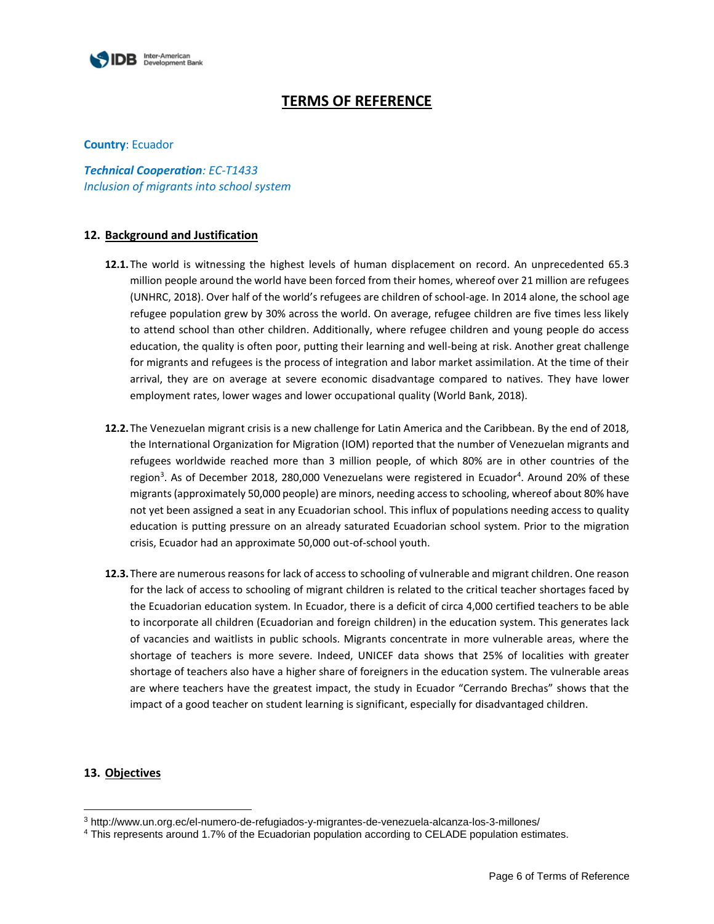

# **TERMS OF REFERENCE**

#### **Country**: Ecuador

*Technical Cooperation: EC-T1433 Inclusion of migrants into school system*

#### **12. Background and Justification**

- **12.1.**The world is witnessing the highest levels of human displacement on record. An unprecedented 65.3 million people around the world have been forced from their homes, whereof over 21 million are refugees (UNHRC, 2018). Over half of the world's refugees are children of school-age. In 2014 alone, the school age refugee population grew by 30% across the world. On average, refugee children are five times less likely to attend school than other children. Additionally, where refugee children and young people do access education, the quality is often poor, putting their learning and well-being at risk. Another great challenge for migrants and refugees is the process of integration and labor market assimilation. At the time of their arrival, they are on average at severe economic disadvantage compared to natives. They have lower employment rates, lower wages and lower occupational quality (World Bank, 2018).
- **12.2.**The Venezuelan migrant crisis is a new challenge for Latin America and the Caribbean. By the end of 2018, the International Organization for Migration (IOM) reported that the number of Venezuelan migrants and refugees worldwide reached more than 3 million people, of which 80% are in other countries of the region<sup>3</sup>. As of December 2018, 280,000 Venezuelans were registered in Ecuador<sup>4</sup>. Around 20% of these migrants (approximately 50,000 people) are minors, needing access to schooling, whereof about 80% have not yet been assigned a seat in any Ecuadorian school. This influx of populations needing access to quality education is putting pressure on an already saturated Ecuadorian school system. Prior to the migration crisis, Ecuador had an approximate 50,000 out-of-school youth.
- **12.3.**There are numerous reasons for lack of access to schooling of vulnerable and migrant children. One reason for the lack of access to schooling of migrant children is related to the critical teacher shortages faced by the Ecuadorian education system. In Ecuador, there is a deficit of circa 4,000 certified teachers to be able to incorporate all children (Ecuadorian and foreign children) in the education system. This generates lack of vacancies and waitlists in public schools. Migrants concentrate in more vulnerable areas, where the shortage of teachers is more severe. Indeed, UNICEF data shows that 25% of localities with greater shortage of teachers also have a higher share of foreigners in the education system. The vulnerable areas are where teachers have the greatest impact, the study in Ecuador "Cerrando Brechas" shows that the impact of a good teacher on student learning is significant, especially for disadvantaged children.

#### **13. Objectives**

 $\overline{a}$ 

<sup>3</sup> http://www.un.org.ec/el-numero-de-refugiados-y-migrantes-de-venezuela-alcanza-los-3-millones/

<sup>4</sup> This represents around 1.7% of the Ecuadorian population according to CELADE population estimates.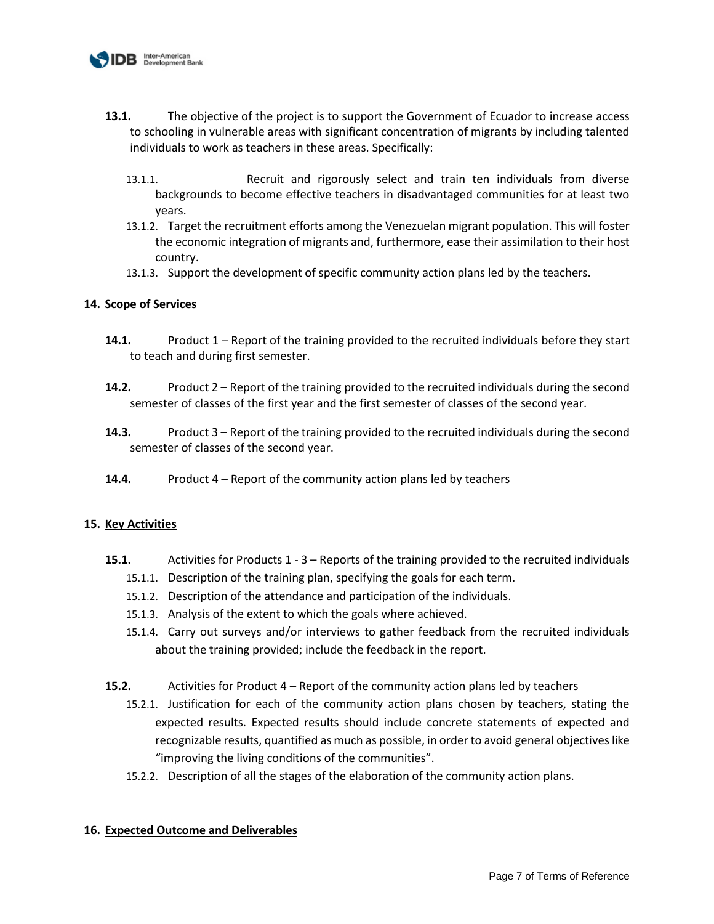

- **13.1.** The objective of the project is to support the Government of Ecuador to increase access to schooling in vulnerable areas with significant concentration of migrants by including talented individuals to work as teachers in these areas. Specifically:
	- 13.1.1. Recruit and rigorously select and train ten individuals from diverse backgrounds to become effective teachers in disadvantaged communities for at least two years.
	- 13.1.2. Target the recruitment efforts among the Venezuelan migrant population. This will foster the economic integration of migrants and, furthermore, ease their assimilation to their host country.
	- 13.1.3. Support the development of specific community action plans led by the teachers.

## **14. Scope of Services**

- **14.1.** Product 1 Report of the training provided to the recruited individuals before they start to teach and during first semester.
- **14.2.** Product 2 Report of the training provided to the recruited individuals during the second semester of classes of the first year and the first semester of classes of the second year.
- **14.3.** Product 3 Report of the training provided to the recruited individuals during the second semester of classes of the second year.
- **14.4.** Product 4 Report of the community action plans led by teachers

## **15. Key Activities**

- **15.1.** Activities for Products 1 3 Reports of the training provided to the recruited individuals
	- 15.1.1. Description of the training plan, specifying the goals for each term.
	- 15.1.2. Description of the attendance and participation of the individuals.
	- 15.1.3. Analysis of the extent to which the goals where achieved.
	- 15.1.4. Carry out surveys and/or interviews to gather feedback from the recruited individuals about the training provided; include the feedback in the report.
- **15.2.** Activities for Product 4 Report of the community action plans led by teachers
	- 15.2.1. Justification for each of the community action plans chosen by teachers, stating the expected results. Expected results should include concrete statements of expected and recognizable results, quantified as much as possible, in order to avoid general objectives like "improving the living conditions of the communities".
	- 15.2.2. Description of all the stages of the elaboration of the community action plans.

## **16. Expected Outcome and Deliverables**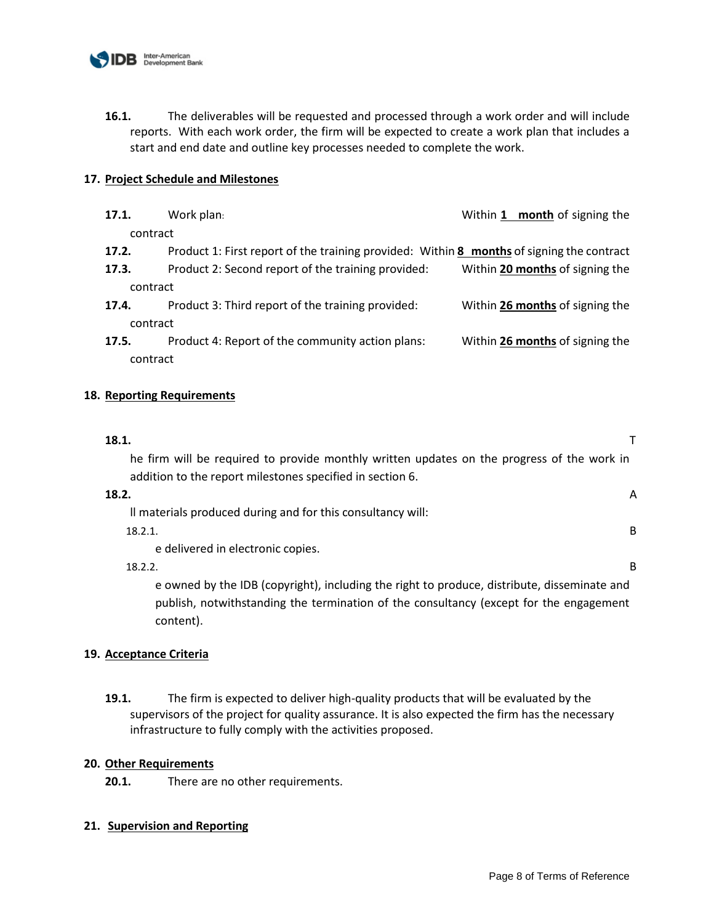

**16.1.** The deliverables will be requested and processed through a work order and will include reports. With each work order, the firm will be expected to create a work plan that includes a start and end date and outline key processes needed to complete the work.

## **17. Project Schedule and Milestones**

| 17.1.    | Work plan:                                                                                | Within 1 month of signing the   |  |  |
|----------|-------------------------------------------------------------------------------------------|---------------------------------|--|--|
| contract |                                                                                           |                                 |  |  |
| 17.2.    | Product 1: First report of the training provided: Within 8 months of signing the contract |                                 |  |  |
| 17.3.    | Product 2: Second report of the training provided:                                        | Within 20 months of signing the |  |  |
| contract |                                                                                           |                                 |  |  |
| 17.4.    | Product 3: Third report of the training provided:                                         | Within 26 months of signing the |  |  |
| contract |                                                                                           |                                 |  |  |
| 17.5.    | Product 4: Report of the community action plans:                                          | Within 26 months of signing the |  |  |
| contract |                                                                                           |                                 |  |  |
|          |                                                                                           |                                 |  |  |

## **18. Reporting Requirements**

| 18.1.                                                                                       |
|---------------------------------------------------------------------------------------------|
| he firm will be required to provide monthly written updates on the progress of the work in  |
| addition to the report milestones specified in section 6.                                   |
| 18.2.<br>Α                                                                                  |
| Il materials produced during and for this consultancy will:                                 |
| B<br>18.2.1.                                                                                |
| e delivered in electronic copies.                                                           |
| B<br>18.2.2.                                                                                |
| e owned by the IDB (copyright), including the right to produce, distribute, disseminate and |
| publish, notwithstanding the termination of the consultancy (except for the engagement      |

# **19. Acceptance Criteria**

content).

**19.1.** The firm is expected to deliver high-quality products that will be evaluated by the supervisors of the project for quality assurance. It is also expected the firm has the necessary infrastructure to fully comply with the activities proposed.

## **20. Other Requirements**

**20.1.** There are no other requirements.

# **21. Supervision and Reporting**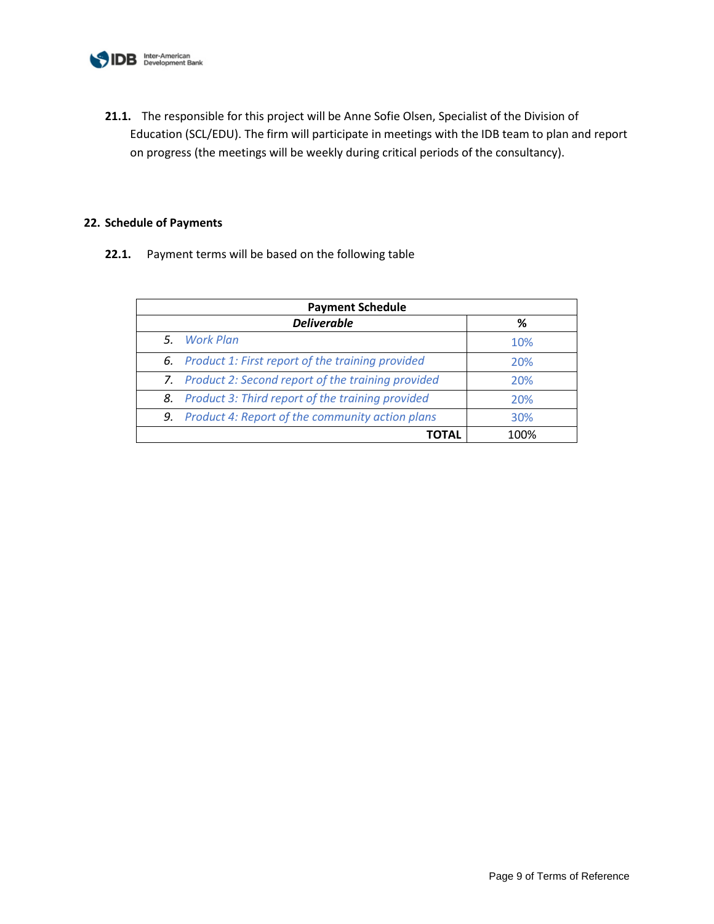

**21.1.** The responsible for this project will be Anne Sofie Olsen, Specialist of the Division of Education (SCL/EDU). The firm will participate in meetings with the IDB team to plan and report on progress (the meetings will be weekly during critical periods of the consultancy).

## **22. Schedule of Payments**

**22.1.** Payment terms will be based on the following table

| <b>Payment Schedule</b> |                                                      |      |
|-------------------------|------------------------------------------------------|------|
|                         | <b>Deliverable</b>                                   | %    |
|                         | 5. Work Plan                                         | 10%  |
|                         | 6. Product 1: First report of the training provided  | 20%  |
|                         | 7. Product 2: Second report of the training provided | 20%  |
|                         | 8. Product 3: Third report of the training provided  | 20%  |
|                         | 9. Product 4: Report of the community action plans   | 30%  |
|                         |                                                      | 100% |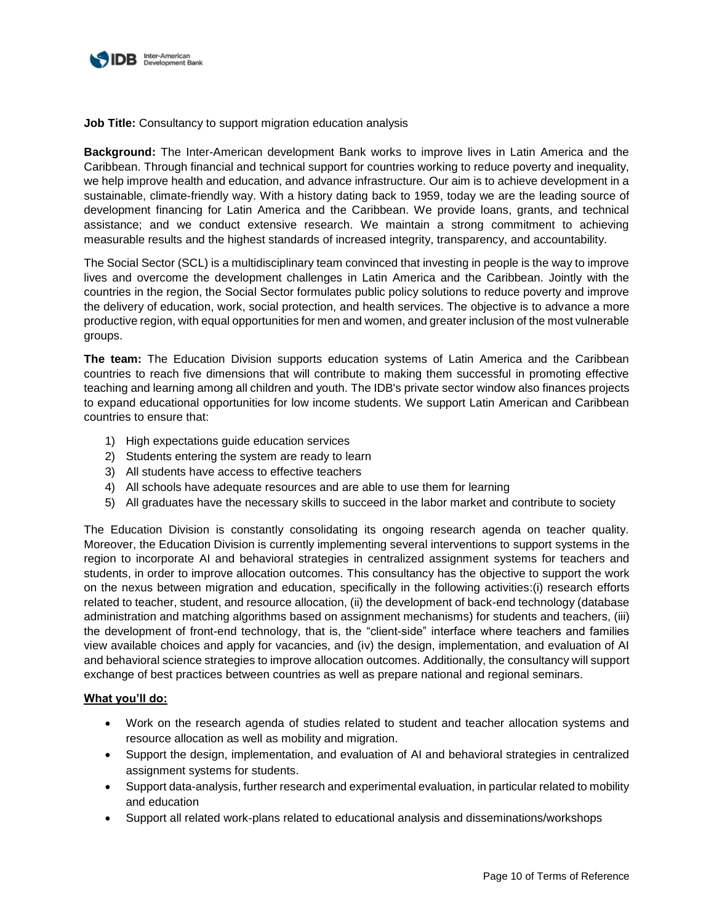

**Job Title:** Consultancy to support migration education analysis

**Background:** The Inter-American development Bank works to improve lives in Latin America and the Caribbean. Through financial and technical support for countries working to reduce poverty and inequality, we help improve health and education, and advance infrastructure. Our aim is to achieve development in a sustainable, climate-friendly way. With a history dating back to 1959, today we are the leading source of development financing for Latin America and the Caribbean. We provide loans, grants, and technical assistance; and we conduct extensive research. We maintain a strong commitment to achieving measurable results and the highest standards of increased integrity, transparency, and accountability.

The Social Sector (SCL) is a multidisciplinary team convinced that investing in people is the way to improve lives and overcome the development challenges in Latin America and the Caribbean. Jointly with the countries in the region, the Social Sector formulates public policy solutions to reduce poverty and improve the delivery of education, work, social protection, and health services. The objective is to advance a more productive region, with equal opportunities for men and women, and greater inclusion of the most vulnerable groups.

**The team:** The Education Division supports education systems of Latin America and the Caribbean countries to reach five dimensions that will contribute to making them successful in promoting effective teaching and learning among all children and youth. The IDB's private sector window also finances projects to expand educational opportunities for low income students. We support Latin American and Caribbean countries to ensure that:

- 1) High expectations guide education services
- 2) Students entering the system are ready to learn
- 3) All students have access to effective teachers
- 4) All schools have adequate resources and are able to use them for learning
- 5) All graduates have the necessary skills to succeed in the labor market and contribute to society

The Education Division is constantly consolidating its ongoing research agenda on teacher quality. Moreover, the Education Division is currently implementing several interventions to support systems in the region to incorporate AI and behavioral strategies in centralized assignment systems for teachers and students, in order to improve allocation outcomes. This consultancy has the objective to support the work on the nexus between migration and education, specifically in the following activities:(i) research efforts related to teacher, student, and resource allocation, (ii) the development of back-end technology (database administration and matching algorithms based on assignment mechanisms) for students and teachers, (iii) the development of front-end technology, that is, the "client-side" interface where teachers and families view available choices and apply for vacancies, and (iv) the design, implementation, and evaluation of AI and behavioral science strategies to improve allocation outcomes. Additionally, the consultancy will support exchange of best practices between countries as well as prepare national and regional seminars.

## **What you'll do:**

- Work on the research agenda of studies related to student and teacher allocation systems and resource allocation as well as mobility and migration.
- Support the design, implementation, and evaluation of AI and behavioral strategies in centralized assignment systems for students.
- Support data-analysis, further research and experimental evaluation, in particular related to mobility and education
- Support all related work-plans related to educational analysis and disseminations/workshops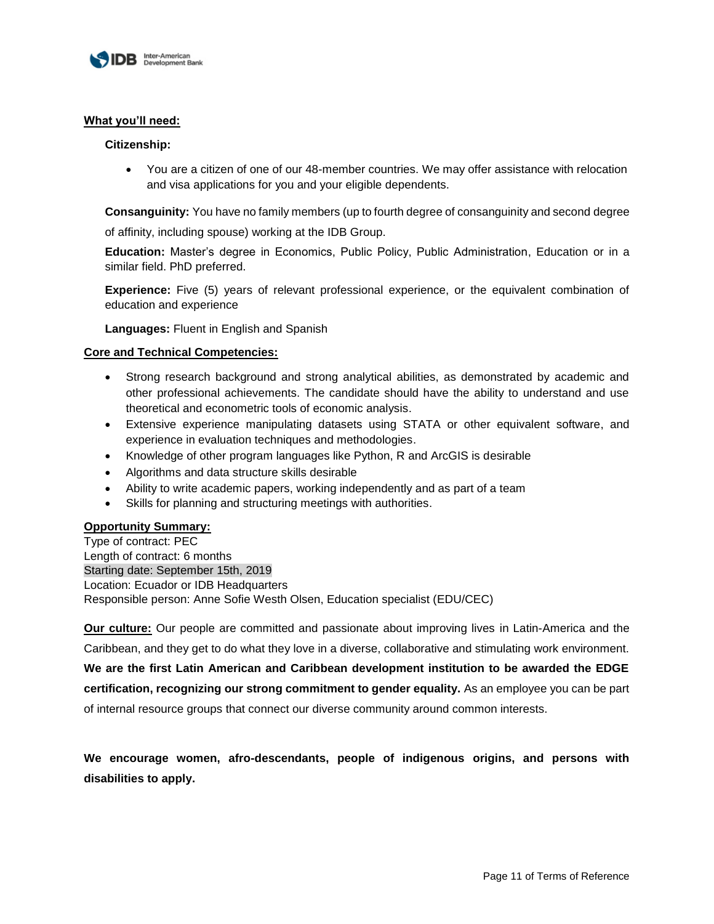

## **What you'll need:**

#### **Citizenship:**

 You are a citizen of one of our 48-member countries. We may offer assistance with relocation and visa applications for you and your eligible dependents.

**Consanguinity:** You have no family members (up to fourth degree of consanguinity and second degree

of affinity, including spouse) working at the IDB Group.

**Education:** Master's degree in Economics, Public Policy, Public Administration, Education or in a similar field. PhD preferred.

**Experience:** Five (5) years of relevant professional experience, or the equivalent combination of education and experience

**Languages:** Fluent in English and Spanish

## **Core and Technical Competencies:**

- Strong research background and strong analytical abilities, as demonstrated by academic and other professional achievements. The candidate should have the ability to understand and use theoretical and econometric tools of economic analysis.
- Extensive experience manipulating datasets using STATA or other equivalent software, and experience in evaluation techniques and methodologies.
- Knowledge of other program languages like Python, R and ArcGIS is desirable
- Algorithms and data structure skills desirable
- Ability to write academic papers, working independently and as part of a team
- Skills for planning and structuring meetings with authorities.

# **Opportunity Summary:**

Type of contract: PEC Length of contract: 6 months Starting date: September 15th, 2019 Location: Ecuador or IDB Headquarters Responsible person: Anne Sofie Westh Olsen, Education specialist (EDU/CEC)

**Our culture:** Our people are committed and passionate about improving lives in Latin-America and the Caribbean, and they get to do what they love in a diverse, collaborative and stimulating work environment. **We are the first Latin American and Caribbean development institution to be awarded the EDGE certification, recognizing our strong commitment to gender equality.** As an employee you can be part of internal resource groups that connect our diverse community around common interests.

**We encourage women, afro-descendants, people of indigenous origins, and persons with disabilities to apply.**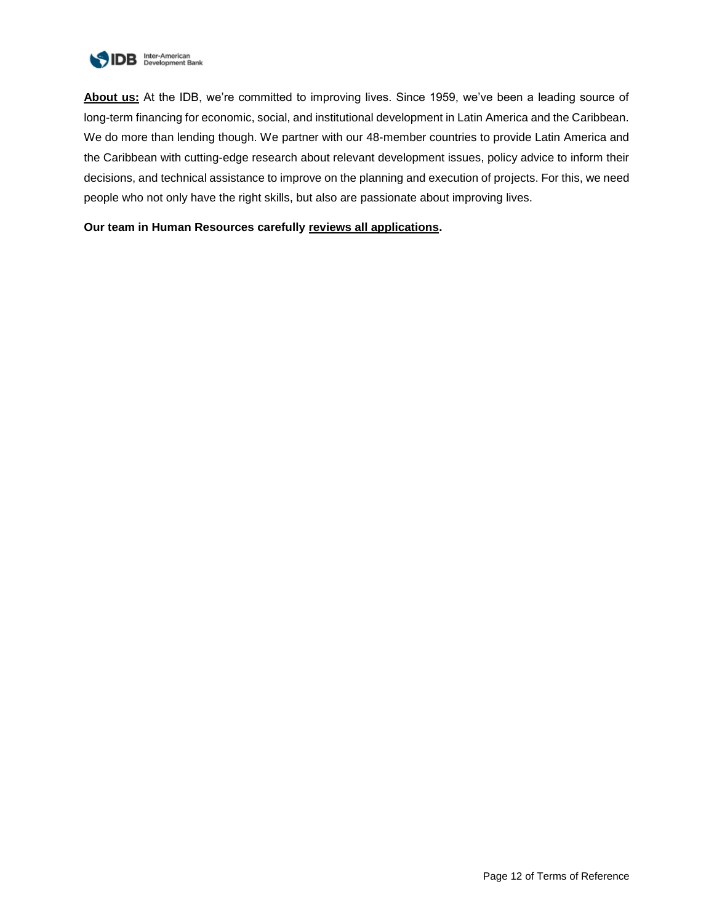

**About us:** At the IDB, we're committed to improving lives. Since 1959, we've been a leading source of long-term financing for economic, social, and institutional development in Latin America and the Caribbean. We do more than lending though. We partner with our 48-member countries to provide Latin America and the Caribbean with cutting-edge research about relevant development issues, policy advice to inform their decisions, and technical assistance to improve on the planning and execution of projects. For this, we need people who not only have the right skills, but also are passionate about improving lives.

## **Our team in Human Resources carefully reviews all applications.**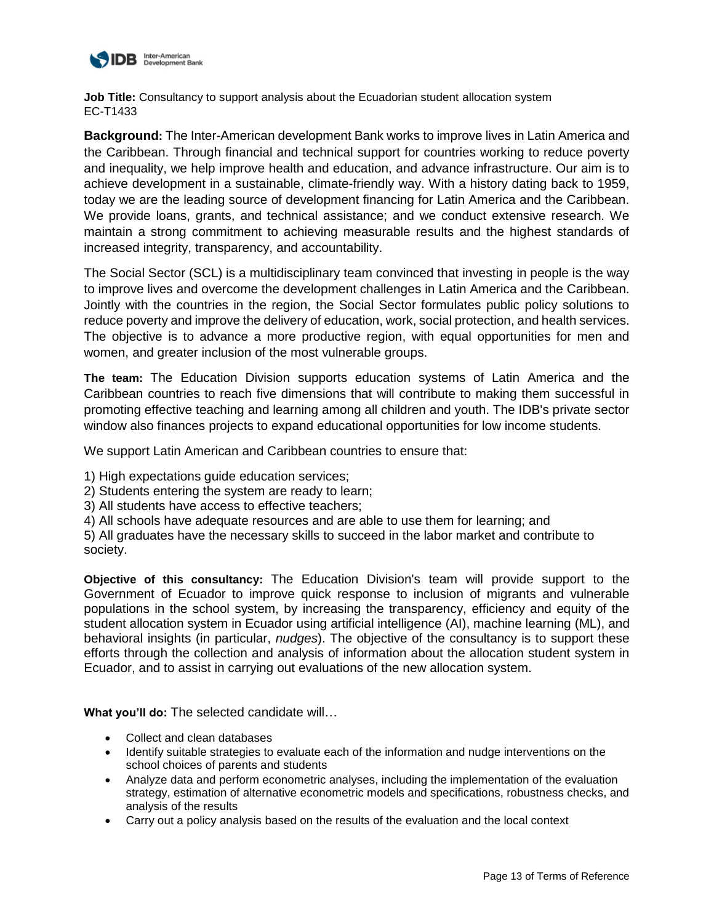

**Job Title:** Consultancy to support analysis about the Ecuadorian student allocation system EC-T1433

**Background:** The Inter-American development Bank works to improve lives in Latin America and the Caribbean. Through financial and technical support for countries working to reduce poverty and inequality, we help improve health and education, and advance infrastructure. Our aim is to achieve development in a sustainable, climate-friendly way. With a history dating back to 1959, today we are the leading source of development financing for Latin America and the Caribbean. We provide loans, grants, and technical assistance; and we conduct extensive research. We maintain a strong commitment to achieving measurable results and the highest standards of increased integrity, transparency, and accountability.

The Social Sector (SCL) is a multidisciplinary team convinced that investing in people is the way to improve lives and overcome the development challenges in Latin America and the Caribbean. Jointly with the countries in the region, the Social Sector formulates public policy solutions to reduce poverty and improve the delivery of education, work, social protection, and health services. The objective is to advance a more productive region, with equal opportunities for men and women, and greater inclusion of the most vulnerable groups.

**The team:** The Education Division supports education systems of Latin America and the Caribbean countries to reach five dimensions that will contribute to making them successful in promoting effective teaching and learning among all children and youth. The IDB's private sector window also finances projects to expand educational opportunities for low income students.

We support Latin American and Caribbean countries to ensure that:

1) High expectations guide education services;

- 2) Students entering the system are ready to learn;
- 3) All students have access to effective teachers;

4) All schools have adequate resources and are able to use them for learning; and

5) All graduates have the necessary skills to succeed in the labor market and contribute to society.

**Objective of this consultancy:** The Education Division's team will provide support to the Government of Ecuador to improve quick response to inclusion of migrants and vulnerable populations in the school system, by increasing the transparency, efficiency and equity of the student allocation system in Ecuador using artificial intelligence (AI), machine learning (ML), and behavioral insights (in particular, *nudges*). The objective of the consultancy is to support these efforts through the collection and analysis of information about the allocation student system in Ecuador, and to assist in carrying out evaluations of the new allocation system.

**What you'll do:** The selected candidate will…

- Collect and clean databases
- Identify suitable strategies to evaluate each of the information and nudge interventions on the school choices of parents and students
- Analyze data and perform econometric analyses, including the implementation of the evaluation strategy, estimation of alternative econometric models and specifications, robustness checks, and analysis of the results
- Carry out a policy analysis based on the results of the evaluation and the local context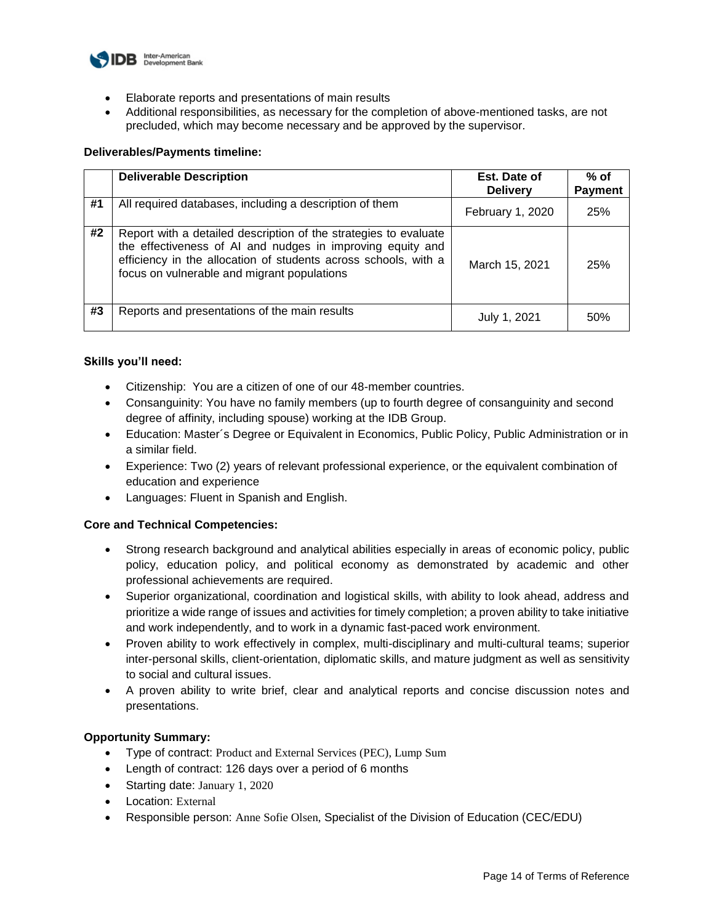

- Elaborate reports and presentations of main results
- Additional responsibilities, as necessary for the completion of above-mentioned tasks, are not precluded, which may become necessary and be approved by the supervisor.

## **Deliverables/Payments timeline:**

|    | <b>Deliverable Description</b>                                                                                                                                                                                                                   | Est. Date of<br><b>Delivery</b> | $%$ of<br><b>Payment</b> |
|----|--------------------------------------------------------------------------------------------------------------------------------------------------------------------------------------------------------------------------------------------------|---------------------------------|--------------------------|
| #1 | All required databases, including a description of them                                                                                                                                                                                          | February 1, 2020                | 25%                      |
| #2 | Report with a detailed description of the strategies to evaluate<br>the effectiveness of AI and nudges in improving equity and<br>efficiency in the allocation of students across schools, with a<br>focus on vulnerable and migrant populations | March 15, 2021                  | 25%                      |
| #3 | Reports and presentations of the main results                                                                                                                                                                                                    | July 1, 2021                    | 50%                      |

#### **Skills you'll need:**

- Citizenship: You are a citizen of one of our 48-member countries.
- Consanguinity: You have no family members (up to fourth degree of consanguinity and second degree of affinity, including spouse) working at the IDB Group.
- Education: Master´s Degree or Equivalent in Economics, Public Policy, Public Administration or in a similar field.
- Experience: Two (2) years of relevant professional experience, or the equivalent combination of education and experience
- Languages: Fluent in Spanish and English.

## **Core and Technical Competencies:**

- Strong research background and analytical abilities especially in areas of economic policy, public policy, education policy, and political economy as demonstrated by academic and other professional achievements are required.
- Superior organizational, coordination and logistical skills, with ability to look ahead, address and prioritize a wide range of issues and activities for timely completion; a proven ability to take initiative and work independently, and to work in a dynamic fast-paced work environment.
- Proven ability to work effectively in complex, multi-disciplinary and multi-cultural teams; superior inter-personal skills, client-orientation, diplomatic skills, and mature judgment as well as sensitivity to social and cultural issues.
- A proven ability to write brief, clear and analytical reports and concise discussion notes and presentations.

## **Opportunity Summary:**

- Type of contract: Product and External Services (PEC), Lump Sum
- Length of contract: 126 days over a period of 6 months
- Starting date: January 1, 2020
- Location: External
- Responsible person: Anne Sofie Olsen, Specialist of the Division of Education (CEC/EDU)